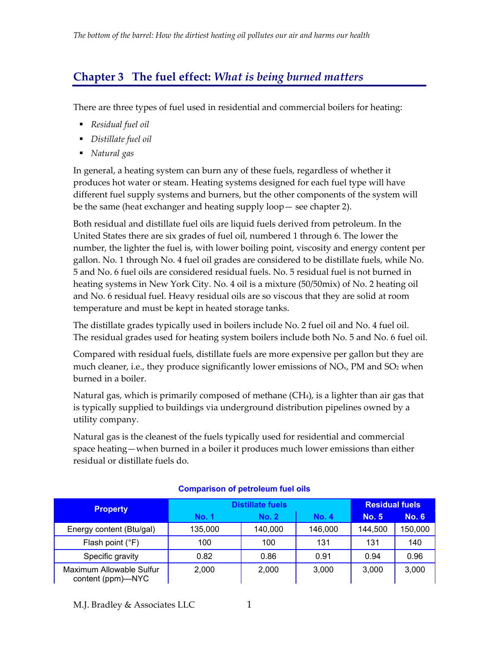# **Chapter 3 The fuel effect:** *What is being burned matters*

There are three types of fuel used in residential and commercial boilers for heating:

- *Residual fuel oil*
- *Distillate fuel oil*
- *Natural gas*

In general, a heating system can burn any of these fuels, regardless of whether it produces hot water or steam. Heating systems designed for each fuel type will have different fuel supply systems and burners, but the other components of the system will be the same (heat exchanger and heating supply loop— see chapter 2).

Both residual and distillate fuel oils are liquid fuels derived from petroleum. In the United States there are six grades of fuel oil, numbered 1 through 6. The lower the number, the lighter the fuel is, with lower boiling point, viscosity and energy content per gallon. No. 1 through No. 4 fuel oil grades are considered to be distillate fuels, while No. 5 and No. 6 fuel oils are considered residual fuels. No. 5 residual fuel is not burned in heating systems in New York City. No. 4 oil is a mixture (50/50mix) of No. 2 heating oil and No. 6 residual fuel. Heavy residual oils are so viscous that they are solid at room temperature and must be kept in heated storage tanks.

The distillate grades typically used in boilers include No. 2 fuel oil and No. 4 fuel oil. The residual grades used for heating system boilers include both No. 5 and No. 6 fuel oil.

Compared with residual fuels, distillate fuels are more expensive per gallon but they are much cleaner, i.e., they produce significantly lower emissions of NO<sub>x</sub>, PM and SO<sub>2</sub> when burned in a boiler.

Natural gas, which is primarily composed of methane (CH4), is a lighter than air gas that is typically supplied to buildings via underground distribution pipelines owned by a utility company.

Natural gas is the cleanest of the fuels typically used for residential and commercial space heating—when burned in a boiler it produces much lower emissions than either residual or distillate fuels do.

| <b>Property</b>                               | <b>Distillate fuels</b> | <b>Residual fuels</b> |              |              |              |
|-----------------------------------------------|-------------------------|-----------------------|--------------|--------------|--------------|
|                                               | <b>No. 1</b>            | <b>No. 2</b>          | <b>No. 4</b> | <b>No. 5</b> | <b>No. 6</b> |
| Energy content (Btu/gal)                      | 135,000                 | 140,000               | 146,000      | 144,500      | 150,000      |
| Flash point (°F)                              | 100                     | 100                   | 131          | 131          | 140          |
| Specific gravity                              | 0.82                    | 0.86                  | 0.91         | 0.94         | 0.96         |
| Maximum Allowable Sulfur<br>content (ppm)—NYC | 2.000                   | 2,000                 | 3,000        | 3.000        | 3,000        |

#### **Comparison of petroleum fuel oils**

M.J. Bradley & Associates LLC 1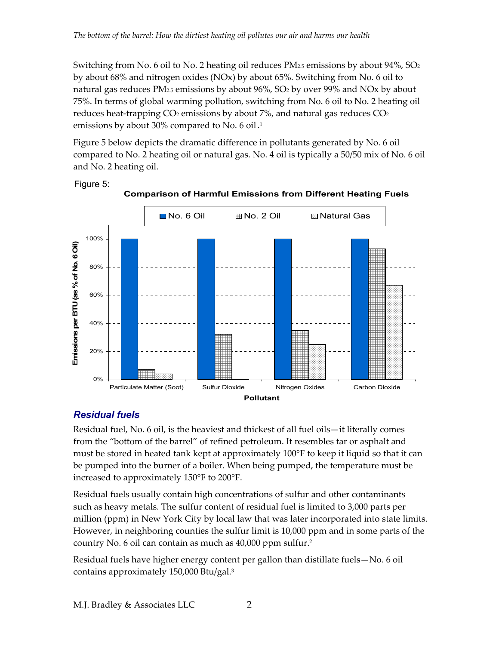Switching from No. 6 oil to No. 2 heating oil reduces  $PM_{2.5}$  emissions by about 94%, SO<sub>2</sub> by about 68% and nitrogen oxides (NOx) by about 65%. Switching from No. 6 oil to natural gas reduces PM2.5 emissions by about 96%, SO2 by over 99% and NOx by about 75%. In terms of global warming pollution, switching from No. 6 oil to No. 2 heating oil reduces heat-trapping  $CO<sub>2</sub>$  emissions by about 7%, and natural gas reduces  $CO<sub>2</sub>$ emissions by about 30% compared to No. 6 oil. 1

Figure 5 below depicts the dramatic difference in pollutants generated by No. 6 oil compared to No. 2 heating oil or natural gas. No. 4 oil is typically a 50/50 mix of No. 6 oil and No. 2 heating oil.







# *Residual fuels*

Residual fuel, No. 6 oil, is the heaviest and thickest of all fuel oils—it literally comes from the "bottom of the barrel" of refined petroleum. It resembles tar or asphalt and must be stored in heated tank kept at approximately 100°F to keep it liquid so that it can be pumped into the burner of a boiler. When being pumped, the temperature must be increased to approximately 150°F to 200°F.

Residual fuels usually contain high concentrations of sulfur and other contaminants such as heavy metals. The sulfur content of residual fuel is limited to 3,000 parts per million (ppm) in New York City by local law that was later incorporated into state limits. However, in neighboring counties the sulfur limit is 10,000 ppm and in some parts of the country No. 6 oil can contain as much as 40,000 ppm sulfur.2

Residual fuels have higher energy content per gallon than distillate fuels—No. 6 oil contains approximately 150,000 Btu/gal.3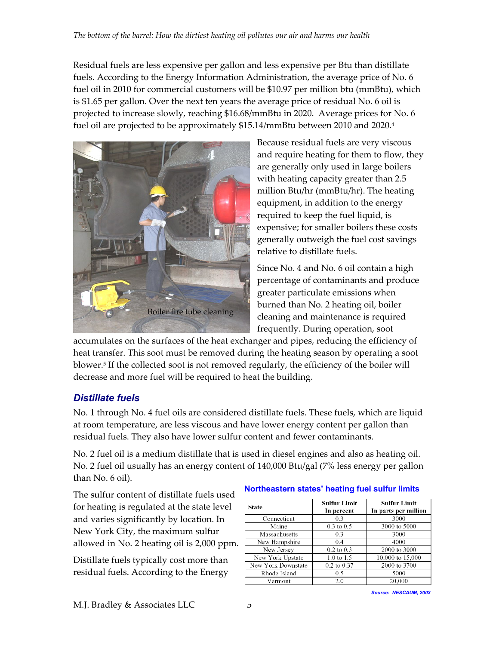Residual fuels are less expensive per gallon and less expensive per Btu than distillate fuels. According to the Energy Information Administration, the average price of No. 6 fuel oil in 2010 for commercial customers will be \$10.97 per million btu (mmBtu), which is \$1.65 per gallon. Over the next ten years the average price of residual No. 6 oil is projected to increase slowly, reaching \$16.68/mmBtu in 2020. Average prices for No. 6 fuel oil are projected to be approximately \$15.14/mmBtu between 2010 and 2020.<sup>4</sup>



Because residual fuels are very viscous and require heating for them to flow, they are generally only used in large boilers with heating capacity greater than 2.5 million Btu/hr (mmBtu/hr). The heating equipment, in addition to the energy required to keep the fuel liquid, is expensive; for smaller boilers these costs generally outweigh the fuel cost savings relative to distillate fuels.

Since No. 4 and No. 6 oil contain a high percentage of contaminants and produce greater particulate emissions when burned than No. 2 heating oil, boiler cleaning and maintenance is required frequently. During operation, soot

accumulates on the surfaces of the heat exchanger and pipes, reducing the efficiency of heat transfer. This soot must be removed during the heating season by operating a soot blower.5 If the collected soot is not removed regularly, the efficiency of the boiler will decrease and more fuel will be required to heat the building.

# *Distillate fuels*

No. 1 through No. 4 fuel oils are considered distillate fuels. These fuels, which are liquid at room temperature, are less viscous and have lower energy content per gallon than residual fuels. They also have lower sulfur content and fewer contaminants.

No. 2 fuel oil is a medium distillate that is used in diesel engines and also as heating oil. No. 2 fuel oil usually has an energy content of 140,000 Btu/gal (7% less energy per gallon than No. 6 oil).

The sulfur content of distillate fuels used for heating is regulated at the state level and varies significantly by location. In New York City, the maximum sulfur allowed in No. 2 heating oil is 2,000 ppm.

Distillate fuels typically cost more than residual fuels. According to the Energy

#### **Northeastern states' heating fuel sulfur limits**

| <b>State</b>       | Sulfur Limit<br>In percent | <b>Sulfur Limit</b><br>In parts per million |
|--------------------|----------------------------|---------------------------------------------|
| Connecticut        | 0.3                        | 3000                                        |
| Maine              | $0.3$ to $0.5$             | 3000 to 5000                                |
| Massachusetts      | 0.3                        | 3000                                        |
| New Hampshire      | 0.4                        | 4000                                        |
| New Jersey         | $0.2$ to $0.3$             | 2000 to 3000                                |
| New York Upstate   | $1.0 \text{ to } 1.5$      | 10,000 to 15,000                            |
| New York Downstate | $0.2$ to $0.37$            | 2000 to 3700                                |
| Rhode Island       | 0.5                        | 5000                                        |
| Vermont            | 2.0                        | 20,000                                      |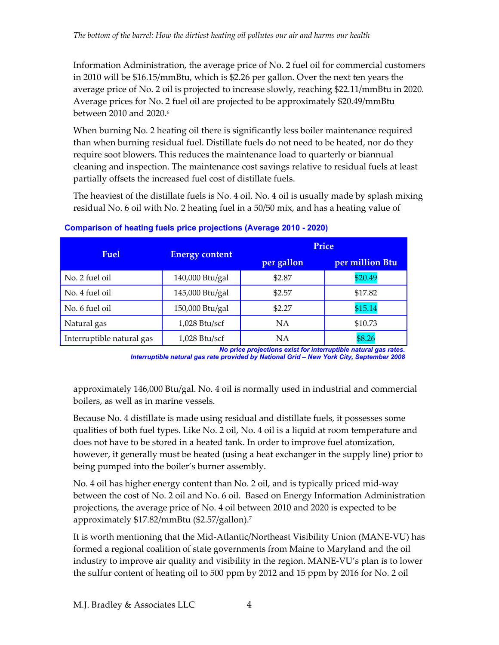Information Administration, the average price of No. 2 fuel oil for commercial customers in 2010 will be \$16.15/mmBtu, which is \$2.26 per gallon. Over the next ten years the average price of No. 2 oil is projected to increase slowly, reaching \$22.11/mmBtu in 2020. Average prices for No. 2 fuel oil are projected to be approximately \$20.49/mmBtu between 2010 and 2020.<sup>6</sup>

When burning No. 2 heating oil there is significantly less boiler maintenance required than when burning residual fuel. Distillate fuels do not need to be heated, nor do they require soot blowers. This reduces the maintenance load to quarterly or biannual cleaning and inspection. The maintenance cost savings relative to residual fuels at least partially offsets the increased fuel cost of distillate fuels.

The heaviest of the distillate fuels is No. 4 oil. No. 4 oil is usually made by splash mixing residual No. 6 oil with No. 2 heating fuel in a 50/50 mix, and has a heating value of

|                           |                       | Price      |                 |  |  |
|---------------------------|-----------------------|------------|-----------------|--|--|
| Fuel                      | <b>Energy content</b> | per gallon | per million Btu |  |  |
| No. 2 fuel oil            | 140,000 Btu/gal       | \$2.87     | \$20.49         |  |  |
| No. 4 fuel oil            | 145,000 Btu/gal       | \$2.57     | \$17.82         |  |  |
| No. 6 fuel oil            | 150,000 Btu/gal       | \$2.27     | \$15.14         |  |  |
| Natural gas               | $1,028$ Btu/scf       | <b>NA</b>  | \$10.73         |  |  |
| Interruptible natural gas | $1,028$ Btu/scf       | ΝA         | \$8.26          |  |  |

**Comparison of heating fuels price projections (Average 2010 - 2020)** 

*No price projections exist for interruptible natural gas rates. Interruptible natural gas rate provided by National Grid – New York City, September 2008* 

approximately 146,000 Btu/gal. No. 4 oil is normally used in industrial and commercial boilers, as well as in marine vessels.

Because No. 4 distillate is made using residual and distillate fuels, it possesses some qualities of both fuel types. Like No. 2 oil, No. 4 oil is a liquid at room temperature and does not have to be stored in a heated tank. In order to improve fuel atomization, however, it generally must be heated (using a heat exchanger in the supply line) prior to being pumped into the boiler's burner assembly.

No. 4 oil has higher energy content than No. 2 oil, and is typically priced mid-way between the cost of No. 2 oil and No. 6 oil. Based on Energy Information Administration projections, the average price of No. 4 oil between 2010 and 2020 is expected to be approximately \$17.82/mmBtu (\$2.57/gallon).7

It is worth mentioning that the Mid-Atlantic/Northeast Visibility Union (MANE-VU) has formed a regional coalition of state governments from Maine to Maryland and the oil industry to improve air quality and visibility in the region. MANE-VU's plan is to lower the sulfur content of heating oil to 500 ppm by 2012 and 15 ppm by 2016 for No. 2 oil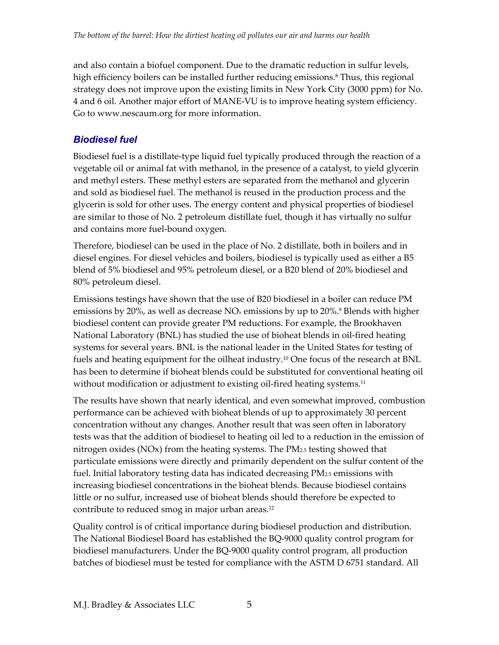and also contain a biofuel component. Due to the dramatic reduction in sulfur levels, high efficiency boilers can be installed further reducing emissions.<sup>8</sup> Thus, this regional strategy does not improve upon the existing limits in New York City (3000 ppm) for No. 4 and 6 oil. Another major effort of MANE-VU is to improve heating system efficiency. Go to www.nescaum.org for more information.

### *Biodiesel fuel*

Biodiesel fuel is a distillate-type liquid fuel typically produced through the reaction of a vegetable oil or animal fat with methanol, in the presence of a catalyst, to yield glycerin and methyl esters. These methyl esters are separated from the methanol and glycerin and sold as biodiesel fuel. The methanol is reused in the production process and the glycerin is sold for other uses. The energy content and physical properties of biodiesel are similar to those of No. 2 petroleum distillate fuel, though it has virtually no sulfur and contains more fuel-bound oxygen.

Therefore, biodiesel can be used in the place of No. 2 distillate, both in boilers and in diesel engines. For diesel vehicles and boilers, biodiesel is typically used as either a B5 blend of 5% biodiesel and 95% petroleum diesel, or a B20 blend of 20% biodiesel and 80% petroleum diesel.

Emissions testings have shown that the use of B20 biodiesel in a boiler can reduce PM emissions by 20%, as well as decrease  $NO_x$  emissions by up to 20%.<sup>9</sup> Blends with higher biodiesel content can provide greater PM reductions. For example, the Brookhaven National Laboratory (BNL) has studied the use of bioheat blends in oil-fired heating systems for several years. BNL is the national leader in the United States for testing of fuels and heating equipment for the oilheat industry.<sup>10</sup> One focus of the research at BNL has been to determine if bioheat blends could be substituted for conventional heating oil without modification or adjustment to existing oil-fired heating systems.<sup>11</sup>

The results have shown that nearly identical, and even somewhat improved, combustion performance can be achieved with bioheat blends of up to approximately 30 percent concentration without any changes. Another result that was seen often in laboratory tests was that the addition of biodiesel to heating oil led to a reduction in the emission of nitrogen oxides ( $NOx$ ) from the heating systems. The  $PM_{2.5}$  testing showed that particulate emissions were directly and primarily dependent on the sulfur content of the fuel. Initial laboratory testing data has indicated decreasing PM2.5 emissions with increasing biodiesel concentrations in the bioheat blends. Because biodiesel contains little or no sulfur, increased use of bioheat blends should therefore be expected to contribute to reduced smog in major urban areas.<sup>12</sup>

Quality control is of critical importance during biodiesel production and distribution. The National Biodiesel Board has established the BQ-9000 quality control program for biodiesel manufacturers. Under the BQ-9000 quality control program, all production batches of biodiesel must be tested for compliance with the ASTM D 6751 standard. All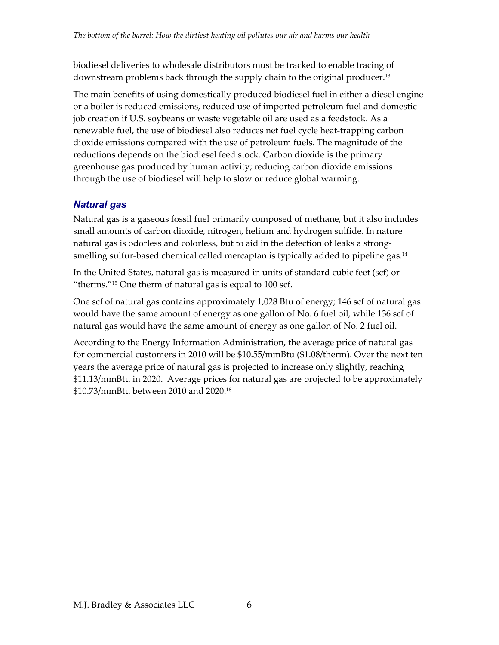biodiesel deliveries to wholesale distributors must be tracked to enable tracing of downstream problems back through the supply chain to the original producer.13

The main benefits of using domestically produced biodiesel fuel in either a diesel engine or a boiler is reduced emissions, reduced use of imported petroleum fuel and domestic job creation if U.S. soybeans or waste vegetable oil are used as a feedstock. As a renewable fuel, the use of biodiesel also reduces net fuel cycle heat-trapping carbon dioxide emissions compared with the use of petroleum fuels. The magnitude of the reductions depends on the biodiesel feed stock. Carbon dioxide is the primary greenhouse gas produced by human activity; reducing carbon dioxide emissions through the use of biodiesel will help to slow or reduce global warming.

### *Natural gas*

Natural gas is a gaseous fossil fuel primarily composed of methane, but it also includes small amounts of carbon dioxide, nitrogen, helium and hydrogen sulfide. In nature natural gas is odorless and colorless, but to aid in the detection of leaks a strongsmelling sulfur-based chemical called mercaptan is typically added to pipeline gas.<sup>14</sup>

In the United States, natural gas is measured in units of standard cubic feet (scf) or "therms."15 One therm of natural gas is equal to 100 scf.

One scf of natural gas contains approximately 1,028 Btu of energy; 146 scf of natural gas would have the same amount of energy as one gallon of No. 6 fuel oil, while 136 scf of natural gas would have the same amount of energy as one gallon of No. 2 fuel oil.

According to the Energy Information Administration, the average price of natural gas for commercial customers in 2010 will be \$10.55/mmBtu (\$1.08/therm). Over the next ten years the average price of natural gas is projected to increase only slightly, reaching \$11.13/mmBtu in 2020. Average prices for natural gas are projected to be approximately \$10.73/mmBtu between 2010 and 2020.16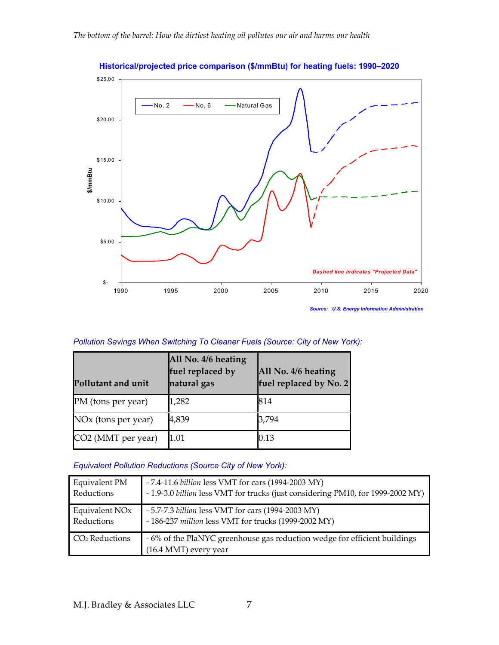

**Historical/projected price comparison (\$/mmBtu) for heating fuels: 1990–2020** 

*Source: U.S. Energy Information Administration*

| Pollution Savings When Switching To Cleaner Fuels (Source: City of New York): |  |  |
|-------------------------------------------------------------------------------|--|--|
|                                                                               |  |  |

| Pollutant and unit              | All No. 4/6 heating<br>fuel replaced by<br>natural gas | All No. 4/6 heating<br>fuel replaced by No. 2 |
|---------------------------------|--------------------------------------------------------|-----------------------------------------------|
| PM (tons per year)              | 1,282                                                  | 814                                           |
| NO <sub>x</sub> (tons per year) | 4,839                                                  | 3,794                                         |
| CO2 (MMT per year)              | 1.01                                                   | 0.13                                          |

#### *Equivalent Pollution Reductions (Source City of New York):*

| <b>Equivalent PM</b>       | - 7.4-11.6 billion less VMT for cars (1994-2003 MY)                                                          |
|----------------------------|--------------------------------------------------------------------------------------------------------------|
| Reductions                 | - 1.9-3.0 billion less VMT for trucks (just considering PM10, for 1999-2002 MY)                              |
| Equivalent NO <sub>x</sub> | - 5.7-7.3 billion less VMT for cars (1994-2003 MY)                                                           |
| Reductions                 | - 186-237 million less VMT for trucks (1999-2002 MY)                                                         |
| CO <sub>2</sub> Reductions | - 6% of the PlaNYC greenhouse gas reduction wedge for efficient buildings<br>$(16.4 \text{ MMT})$ every year |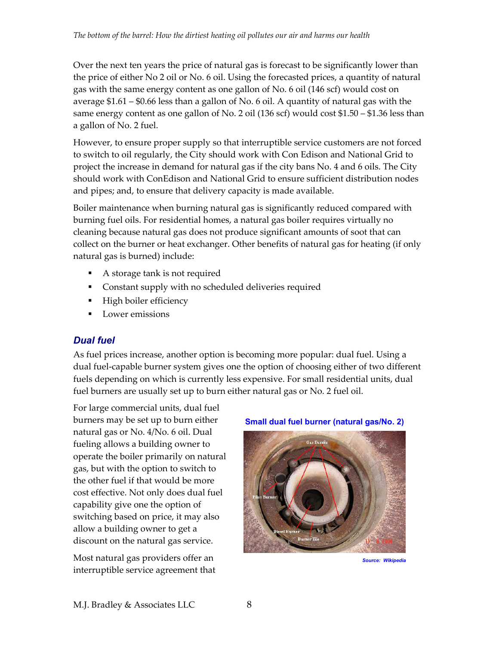Over the next ten years the price of natural gas is forecast to be significantly lower than the price of either No 2 oil or No. 6 oil. Using the forecasted prices, a quantity of natural gas with the same energy content as one gallon of No. 6 oil (146 scf) would cost on average \$1.61 – \$0.66 less than a gallon of No. 6 oil. A quantity of natural gas with the same energy content as one gallon of No. 2 oil (136 scf) would cost \$1.50 – \$1.36 less than a gallon of No. 2 fuel.

However, to ensure proper supply so that interruptible service customers are not forced to switch to oil regularly, the City should work with Con Edison and National Grid to project the increase in demand for natural gas if the city bans No. 4 and 6 oils. The City should work with ConEdison and National Grid to ensure sufficient distribution nodes and pipes; and, to ensure that delivery capacity is made available.

Boiler maintenance when burning natural gas is significantly reduced compared with burning fuel oils. For residential homes, a natural gas boiler requires virtually no cleaning because natural gas does not produce significant amounts of soot that can collect on the burner or heat exchanger. Other benefits of natural gas for heating (if only natural gas is burned) include:

- A storage tank is not required
- Constant supply with no scheduled deliveries required
- **High boiler efficiency**
- **Lower emissions**

### *Dual fuel*

As fuel prices increase, another option is becoming more popular: dual fuel. Using a dual fuel-capable burner system gives one the option of choosing either of two different fuels depending on which is currently less expensive. For small residential units, dual fuel burners are usually set up to burn either natural gas or No. 2 fuel oil.

For large commercial units, dual fuel burners may be set up to burn either natural gas or No. 4/No. 6 oil. Dual fueling allows a building owner to operate the boiler primarily on natural gas, but with the option to switch to the other fuel if that would be more cost effective. Not only does dual fuel capability give one the option of switching based on price, it may also allow a building owner to get a discount on the natural gas service.

Most natural gas providers offer an interruptible service agreement that





*Source: Wikipedia*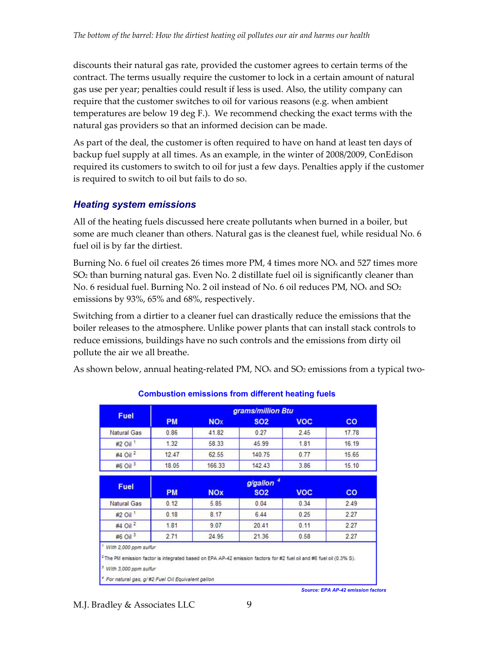discounts their natural gas rate, provided the customer agrees to certain terms of the contract. The terms usually require the customer to lock in a certain amount of natural gas use per year; penalties could result if less is used. Also, the utility company can require that the customer switches to oil for various reasons (e.g. when ambient temperatures are below 19 deg F.). We recommend checking the exact terms with the natural gas providers so that an informed decision can be made.

As part of the deal, the customer is often required to have on hand at least ten days of backup fuel supply at all times. As an example, in the winter of 2008/2009, ConEdison required its customers to switch to oil for just a few days. Penalties apply if the customer is required to switch to oil but fails to do so.

### *Heating system emissions*

All of the heating fuels discussed here create pollutants when burned in a boiler, but some are much cleaner than others. Natural gas is the cleanest fuel, while residual No. 6 fuel oil is by far the dirtiest.

Burning No. 6 fuel oil creates 26 times more PM, 4 times more  $NO<sub>x</sub>$  and 527 times more SO2 than burning natural gas. Even No. 2 distillate fuel oil is significantly cleaner than No. 6 residual fuel. Burning No. 2 oil instead of No. 6 oil reduces PM, NO<sub>x</sub> and SO<sub>2</sub> emissions by 93%, 65% and 68%, respectively.

Switching from a dirtier to a cleaner fuel can drastically reduce the emissions that the boiler releases to the atmosphere. Unlike power plants that can install stack controls to reduce emissions, buildings have no such controls and the emissions from dirty oil pollute the air we all breathe.

As shown below, annual heating-related PM,  $NO<sub>x</sub>$  and  $SO<sub>2</sub>$  emissions from a typical two-

|                     |           |                       | grams/million Btu |            |           |
|---------------------|-----------|-----------------------|-------------------|------------|-----------|
| <b>Fuel</b>         | <b>PM</b> | <b>NO<sub>X</sub></b> | <b>SO2</b>        | <b>VOC</b> | <b>CO</b> |
| <b>Natural Gas</b>  | 0.86      | 41.82                 | 0.27              | 2.45       | 17.78     |
| #2 Oil <sup>1</sup> | 1.32      | 58.33                 | 45.99             | 1.81       | 16.19     |
| #4 Oil <sup>2</sup> | 12.47     | 62.55                 | 140.75            | 0.77       | 15.65     |
| #6 Oil <sup>3</sup> | 18.05     | 166.33                | 142.43            | 3.86       | 15.10     |
|                     |           |                       | g/gallon          |            |           |
| <b>Fuel</b>         | <b>PM</b> | <b>NOx</b>            | <b>SO2</b>        | <b>VOC</b> | <b>CO</b> |
| Natural Gas         | 0.12      | 5.85                  | 0.04              | 0.34       | 2.49      |
| #2 Oil              | 0.18      | 8.17                  | 6.44              | 0.25       | 2.27      |
|                     | 1.81      | 9.07                  | 20.41             | 0.11       | 2.27      |
| #4 Oil <sup>2</sup> |           |                       |                   |            |           |

#### **Combustion emissions from different heating fuels**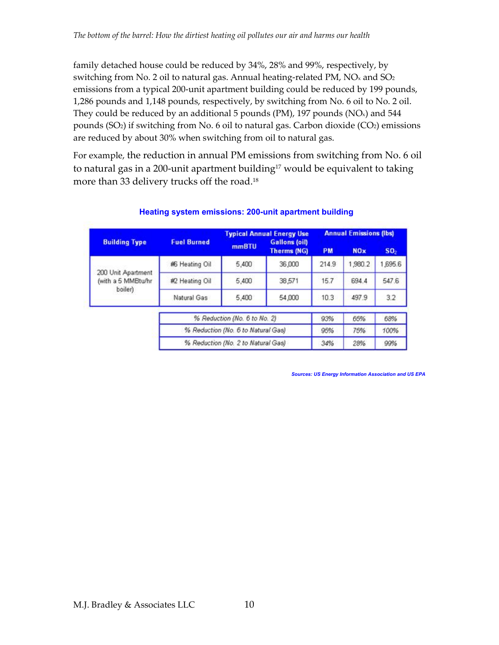family detached house could be reduced by 34%, 28% and 99%, respectively, by switching from No. 2 oil to natural gas. Annual heating-related PM,  $NO<sub>x</sub>$  and  $SO<sub>2</sub>$ emissions from a typical 200-unit apartment building could be reduced by 199 pounds, 1,286 pounds and 1,148 pounds, respectively, by switching from No. 6 oil to No. 2 oil. They could be reduced by an additional 5 pounds (PM), 197 pounds (NO $x$ ) and 544 pounds  $(SO<sub>2</sub>)$  if switching from No. 6 oil to natural gas. Carbon dioxide  $(CO<sub>2</sub>)$  emissions are reduced by about 30% when switching from oil to natural gas.

For example, the reduction in annual PM emissions from switching from No. 6 oil to natural gas in a 200-unit apartment building<sup>17</sup> would be equivalent to taking more than 33 delivery trucks off the road.<sup>18</sup>

| <b>Building Type</b>                                | <b>Fuel Burned</b>                 | <b>Typical Annual Energy Use</b><br><b>Gallons (oil)</b> |                    | <b>Annual Emissions (lbs)</b> |            |                 |
|-----------------------------------------------------|------------------------------------|----------------------------------------------------------|--------------------|-------------------------------|------------|-----------------|
|                                                     |                                    | <b>mmBTU</b>                                             | <b>Therms (NG)</b> | <b>PM</b>                     | <b>NOx</b> | SO <sub>2</sub> |
| 200 Unit Apartment<br>(with a 5 MMBtu/hr<br>boiler) | 彬 Heating Oil                      | 5,400                                                    | 36,000             | 214.9                         | 1,980.2    | 1,695.6         |
|                                                     | #2 Heating Oil                     | 5,400                                                    | 38,571             | 15.7                          | 694.4      | 547.6           |
|                                                     | Natural Gas                        | 5,400                                                    | 54,000             | 10.3                          | 497.9      | 3.2             |
|                                                     |                                    | % Reduction (No. 6 to No. 2)                             |                    | 93%                           | 65%        | 68%             |
|                                                     | % Reduction (No. 6 to Natural Gas) |                                                          | 95%                | 75%                           | 100%       |                 |
|                                                     | % Reduction (No. 2 to Natural Gas) |                                                          | 34%                | 28%                           | 99%        |                 |

#### **Heating system emissions: 200-unit apartment building**

*Sources: US Energy Information Association and US EPA*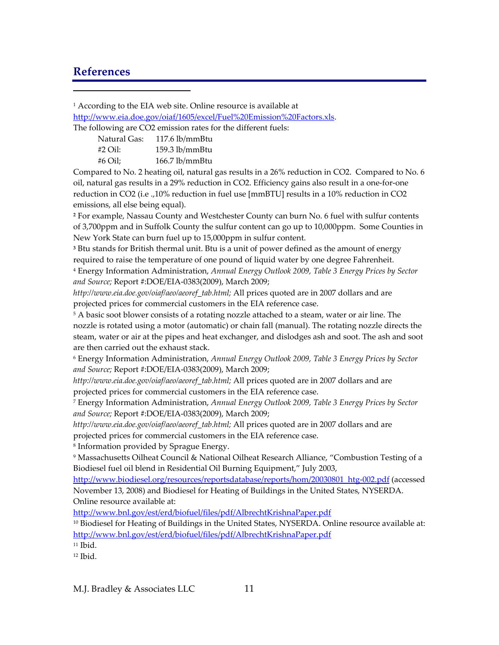### **References**

 $\overline{a}$ 

<sup>1</sup> According to the EIA web site. Online resource is available at http://www.eia.doe.gov/oiaf/1605/excel/Fuel%20Emission%20Factors.xls.

The following are CO2 emission rates for the different fuels:

| Natural Gas: | $117.6$ lb/mmBtu |
|--------------|------------------|
| #2 Oil:      | 159.3 lb/mmBtu   |
| #6 Oil:      | $166.7$ lb/mmBtu |

Compared to No. 2 heating oil, natural gas results in a 26% reduction in CO2. Compared to No. 6 oil, natural gas results in a 29% reduction in CO2. Efficiency gains also result in a one-for-one reduction in CO2 (i.e .,10% reduction in fuel use [mmBTU] results in a 10% reduction in CO2 emissions, all else being equal).

**<sup>2</sup>** For example, Nassau County and Westchester County can burn No. 6 fuel with sulfur contents of 3,700ppm and in Suffolk County the sulfur content can go up to 10,000ppm. Some Counties in New York State can burn fuel up to 15,000ppm in sulfur content.

**<sup>3</sup>** Btu stands for British thermal unit. Btu is a unit of power defined as the amount of energy required to raise the temperature of one pound of liquid water by one degree Fahrenheit.

4 Energy Information Administration, *Annual Energy Outlook 2009, Table 3 Energy Prices by Sector and Source;* Report #:DOE/EIA-0383(2009), March 2009;

*http://www.eia.doe.gov/oiaf/aeo/aeoref\_tab.html;* All prices quoted are in 2007 dollars and are projected prices for commercial customers in the EIA reference case.

<sup>5</sup> A basic soot blower consists of a rotating nozzle attached to a steam, water or air line. The nozzle is rotated using a motor (automatic) or chain fall (manual). The rotating nozzle directs the steam, water or air at the pipes and heat exchanger, and dislodges ash and soot. The ash and soot are then carried out the exhaust stack.

6 Energy Information Administration, *Annual Energy Outlook 2009, Table 3 Energy Prices by Sector and Source;* Report #:DOE/EIA-0383(2009), March 2009;

*http://www.eia.doe.gov/oiaf/aeo/aeoref\_tab.html;* All prices quoted are in 2007 dollars and are projected prices for commercial customers in the EIA reference case.

7 Energy Information Administration, *Annual Energy Outlook 2009, Table 3 Energy Prices by Sector and Source;* Report #:DOE/EIA-0383(2009), March 2009;

*http://www.eia.doe.gov/oiaf/aeo/aeoref\_tab.html;* All prices quoted are in 2007 dollars and are projected prices for commercial customers in the EIA reference case.

8 Information provided by Sprague Energy.

9 Massachusetts Oilheat Council & National Oilheat Research Alliance, "Combustion Testing of a Biodiesel fuel oil blend in Residential Oil Burning Equipment," July 2003,

http://www.biodiesel.org/resources/reportsdatabase/reports/hom/20030801\_htg-002.pdf (accessed November 13, 2008) and Biodiesel for Heating of Buildings in the United States, NYSERDA. Online resource available at:

http://www.bnl.gov/est/erd/biofuel/files/pdf/AlbrechtKrishnaPaper.pdf

<sup>10</sup> Biodiesel for Heating of Buildings in the United States, NYSERDA. Online resource available at: http://www.bnl.gov/est/erd/biofuel/files/pdf/AlbrechtKrishnaPaper.pdf

 $11$  Ibid.

12 Ibid.